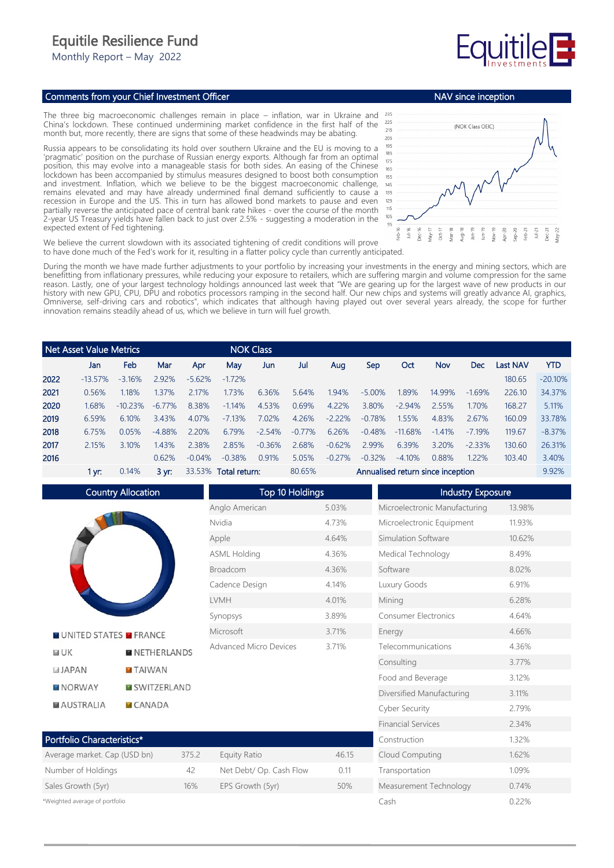## Equitile Resilience Fund

Monthly Report – May 2022

## Comments from your Chief Investment Officer

The three big macroeconomic challenges remain in place – inflation, war in Ukraine and China's lockdown. These continued undermining market confidence in the first half of the month but, more recently, there are signs that some of these headwinds may be abating.

Russia appears to be consolidating its hold over southern Ukraine and the EU is moving to a 'pragmatic' position on the purchase of Russian energy exports. Although far from an optimal position, this may evolve into a manageable stasis for both sides. An easing of the Chinese lockdown has been accompanied by stimulus measures designed to boost both consumption and investment. Inflation, which we believe to be the biggest macroeconomic challenge, remains elevated and may have already undermined final demand sufficiently to cause a recession in Europe and the US. This in turn has allowed bond markets to pause and even partially reverse the anticipated pace of central bank rate hikes - over the course of the month 2-year US Treasury yields have fallen back to just over 2.5% - suggesting a moderation in the expected extent of Fed tightening.



Cash 0.22%

We believe the current slowdown with its associated tightening of credit conditions will prove to have done much of the Fed's work for it, resulting in a flatter policy cycle than currently anticipated.

During the month we have made further adjustments to your portfolio by increasing your investments in the energy and mining sectors, which are benefitting from inflationary pressures, while reducing your exposure to retailers, which are suffering margin and volume compression for the same reason. Lastly, one of your largest technology holdings announced last week that "We are gearing up for the largest wave of new products in our history with new GPU, CPU, DPU and robotics processors ramping in the second half. Our new chips and systems will greatly advance AI, graphics, Omniverse, self-driving cars and robotics", which indicates that although having played out over several years already, the scope for further innovation remains steadily ahead of us, which we believe in turn will fuel growth.

|      | Net Asset Value Metrics |            |                                   |          |          | <b>NOK Class</b> |                                   |          |          |           |          |            |          |            |
|------|-------------------------|------------|-----------------------------------|----------|----------|------------------|-----------------------------------|----------|----------|-----------|----------|------------|----------|------------|
|      | Jan                     | Feb        | Mar                               | Apr      | May      | Jun              | Jul                               | Aug      | Sep      | Oct       | Nov      | <b>Dec</b> | Last NAV | <b>YTD</b> |
| 2022 | $-13.57\%$              | $-3.16%$   | 2.92%                             | $-5.62%$ | $-172%$  |                  |                                   |          |          |           |          |            | 180.65   | $-20.10\%$ |
| 2021 | 0.56%                   | 1.18%      | 1.37%                             | 2.17%    | 1.73%    | 6.36%            | 5.64%                             | 1.94%    | $-5.00%$ | 1.89%     | 14.99%   | $-1.69%$   | 226.10   | 34.37%     |
| 2020 | 1.68%                   | $-10.23\%$ | $-6.77\%$                         | 8.38%    | $-1.14%$ | 4.53%            | 0.69%                             | 4.22%    | 3.80%    | $-2.94%$  | 2.55%    | 1.70%      | 168.27   | 5.11%      |
| 2019 | 6.59%                   | 6.10%      | 3.43%                             | 4.07%    | $-7.13%$ | 7.02%            | 4.26%                             | $-2.22%$ | $-0.78%$ | 1.55%     | 4.83%    | 2.67%      | 160.09   | 33.78%     |
| 2018 | 6.75%                   | 0.05%      | $-4.88%$                          | 2.20%    | 6.79%    | $-2.54%$         | $-0.77\%$                         | 6.26%    | $-0.48%$ | $-11.68%$ | $-1.41%$ | $-7.19%$   | 119.67   | $-8.37%$   |
| 2017 | 2.15%                   | 3.10%      | 1.43%                             | 2.38%    | 2.85%    | $-0.36%$         | 2.68%                             | $-0.62%$ | 2.99%    | 6.39%     | 3.20%    | $-2.33%$   | 130.60   | 26.31%     |
| 2016 |                         |            | 0.62%                             | $-0.04%$ | $-0.38%$ | 0.91%            | 5.05%                             | $-0.27%$ | $-0.32%$ | $-4.10%$  | 0.88%    | 1.22%      | 103.40   | 3.40%      |
|      | 1 yr:                   | 0.14%      | 33.53% Total return:<br>$3 \, yr$ |          |          | 80.65%           | Annualised return since inception |          |          |           |          | 9.92%      |          |            |

Country Allocation Top 10 Holdings **Industry Exposure** Anglo American 5.03% Microelectronic Manufacturing 13.98% Nvidia 4.73% Microelectronic Equipment 11.93% Apple 4.64% Simulation Software 10.62% ASML Holding 4.36% Medical Technology 8.49% Broadcom 4.36% Software 8.02% Cadence Design 4.14% Luxury Goods 6.91% LVMH 4.01% Mining 6.28% Synopsys 3.89% Consumer Electronics 4.64% Microsoft 3.71% Energy 4.66% **NUNITED STATES MERANCE** Advanced Micro Devices 3.71% Telecommunications 4.36%  $F = I K$ **NETHERLANDS** Consulting 3.77% **JAPAN TAIWAN** Food and Beverage 3.12% **NORWAY MISWITZERLAND** Diversified Manufacturing 3.11% **MAUSTRALIA**  $CANADA$ Cyber Security 2.79% Financial Services 2.34% Portfolio Characteristics\* Construction 1.32% Average market. Cap (USD bn) 375.2 Equity Ratio 46.15 Cloud Computing 1.62% Number of Holdings and A2 Net Debt/ Op. Cash Flow 0.11 Transportation 1.09% Sales Growth (5yr) 16% EPS Growth (5yr) 50% Measurement Technology 0.74%

\*Weighted average of portfolio

NAV since inception